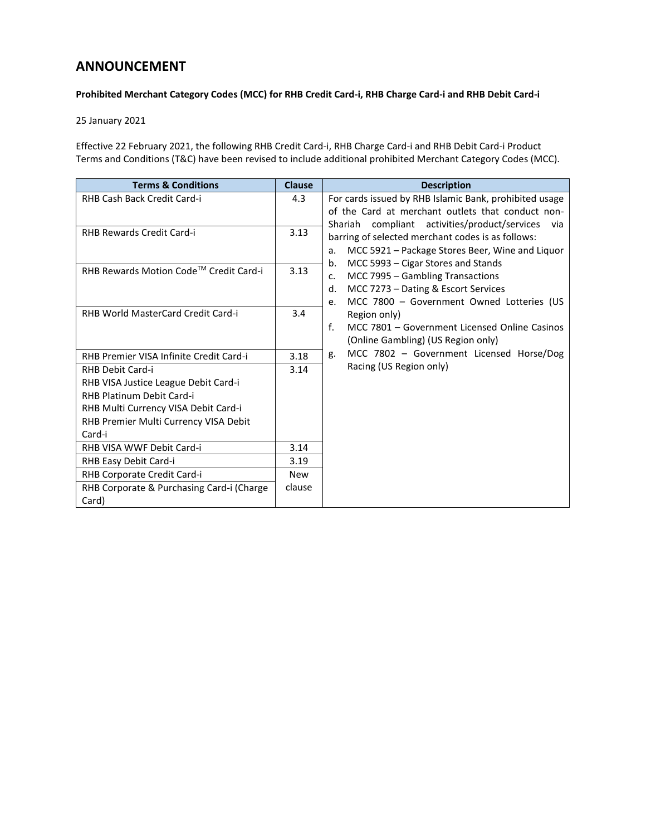## **ANNOUNCEMENT**

## **Prohibited Merchant Category Codes (MCC) for RHB Credit Card-i, RHB Charge Card-i and RHB Debit Card-i**

25 January 2021

Effective 22 February 2021, the following RHB Credit Card-i, RHB Charge Card-i and RHB Debit Card-i Product Terms and Conditions (T&C) have been revised to include additional prohibited Merchant Category Codes (MCC).

| <b>Terms &amp; Conditions</b>             | <b>Clause</b> | <b>Description</b>                                              |
|-------------------------------------------|---------------|-----------------------------------------------------------------|
| RHB Cash Back Credit Card-i               | 4.3           | For cards issued by RHB Islamic Bank, prohibited usage          |
|                                           |               | of the Card at merchant outlets that conduct non-               |
| RHB Rewards Credit Card-i                 | 3.13          | Shariah compliant activities/product/services<br>via            |
|                                           |               | barring of selected merchant codes is as follows:               |
|                                           |               | MCC 5921 - Package Stores Beer, Wine and Liquor<br>a.           |
| RHB Rewards Motion Code™ Credit Card-i    | 3.13          | MCC 5993 - Cigar Stores and Stands<br>b.                        |
|                                           |               | MCC 7995 - Gambling Transactions<br>c.                          |
|                                           |               | MCC 7273 - Dating & Escort Services<br>d.                       |
| RHB World MasterCard Credit Card-i        | 3.4           | MCC 7800 - Government Owned Lotteries (US<br>e.<br>Region only) |
|                                           |               | $\mathbf{f}$<br>MCC 7801 - Government Licensed Online Casinos   |
|                                           |               | (Online Gambling) (US Region only)                              |
|                                           |               | MCC 7802 - Government Licensed Horse/Dog<br>g.                  |
| RHB Premier VISA Infinite Credit Card-i   | 3.18          | Racing (US Region only)                                         |
| <b>RHB Debit Card-i</b>                   | 3.14          |                                                                 |
| RHB VISA Justice League Debit Card-i      |               |                                                                 |
| RHB Platinum Debit Card-i                 |               |                                                                 |
| RHB Multi Currency VISA Debit Card-i      |               |                                                                 |
| RHB Premier Multi Currency VISA Debit     |               |                                                                 |
| Card-i                                    |               |                                                                 |
| RHB VISA WWF Debit Card-i                 | 3.14          |                                                                 |
| RHB Easy Debit Card-i                     | 3.19          |                                                                 |
| RHB Corporate Credit Card-i               | <b>New</b>    |                                                                 |
| RHB Corporate & Purchasing Card-i (Charge | clause        |                                                                 |
| Card)                                     |               |                                                                 |